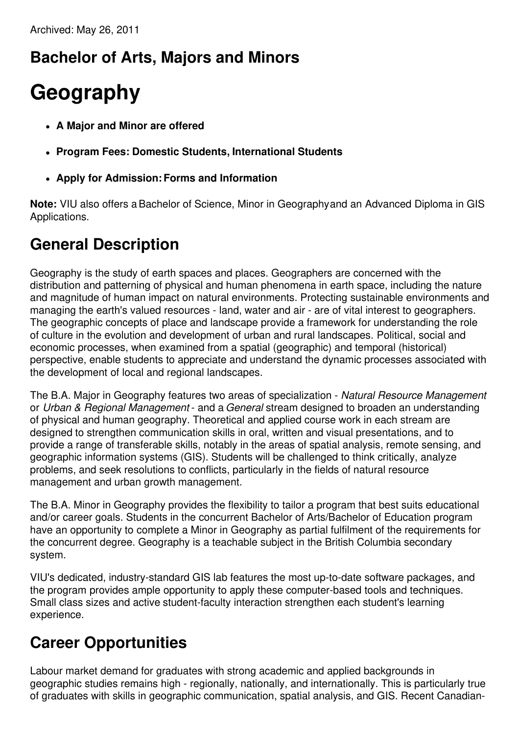## **Bachelor of Arts, Majors and Minors**

# **Geography**

- **A Major and Minor are offered**
- **Program Fees: Domestic Students, International Students**
- **Apply for Admission:Forms and Information**

**Note:** VIU also offers aBachelor of Science, Minor in Geographyand an Advanced Diploma in GIS Applications.

### **General Description**

Geography is the study of earth spaces and places. Geographers are concerned with the distribution and patterning of physical and human phenomena in earth space, including the nature and magnitude of human impact on natural environments. Protecting sustainable environments and managing the earth's valued resources - land, water and air - are of vital interest to geographers. The geographic concepts of place and landscape provide a framework for understanding the role of culture in the evolution and development of urban and rural landscapes. Political, social and economic processes, when examined from a spatial (geographic) and temporal (historical) perspective, enable students to appreciate and understand the dynamic processes associated with the development of local and regional landscapes.

The B.A. Major in Geography features two areas of specialization - *Natural Resource Management* or *Urban & Regional Management* - and a *General* stream designed to broaden an understanding of physical and human geography. Theoretical and applied course work in each stream are designed to strengthen communication skills in oral, written and visual presentations, and to provide a range of transferable skills, notably in the areas of spatial analysis, remote sensing, and geographic information systems (GIS). Students will be challenged to think critically, analyze problems, and seek resolutions to conflicts, particularly in the fields of natural resource management and urban growth management.

The B.A. Minor in Geography provides the flexibility to tailor a program that best suits educational and/or career goals. Students in the concurrent Bachelor of Arts/Bachelor of Education program have an opportunity to complete a Minor in Geography as partial fulfilment of the requirements for the concurrent degree. Geography is a teachable subject in the British Columbia secondary system.

VIU's dedicated, industry-standard GIS lab features the most up-to-date software packages, and the program provides ample opportunity to apply these computer-based tools and techniques. Small class sizes and active student-faculty interaction strengthen each student's learning experience.

## **Career Opportunities**

Labour market demand for graduates with strong academic and applied backgrounds in geographic studies remains high - regionally, nationally, and internationally. This is particularly true of graduates with skills in geographic communication, spatial analysis, and GIS. Recent Canadian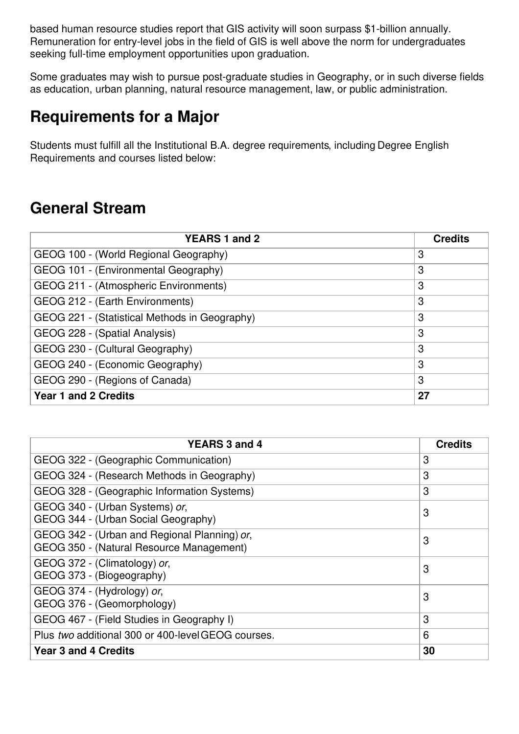based human resource studies report that GIS activity will soon surpass \$1-billion annually. Remuneration for entry-level jobs in the field of GIS is well above the norm for undergraduates seeking full-time employment opportunities upon graduation.

Some graduates may wish to pursue post-graduate studies in Geography, or in such diverse fields as education, urban planning, natural resource management, law, or public administration.

#### **Requirements for a Major**

Students must fulfill all the Institutional B.A. degree requirements, including Degree English Requirements and courses listed below:

#### **General Stream**

| <b>YEARS 1 and 2</b>                          | <b>Credits</b> |
|-----------------------------------------------|----------------|
| GEOG 100 - (World Regional Geography)         | 3              |
| GEOG 101 - (Environmental Geography)          | 3              |
| GEOG 211 - (Atmospheric Environments)         | 3              |
| GEOG 212 - (Earth Environments)               | 3              |
| GEOG 221 - (Statistical Methods in Geography) | 3              |
| GEOG 228 - (Spatial Analysis)                 | 3              |
| GEOG 230 - (Cultural Geography)               | 3              |
| GEOG 240 - (Economic Geography)               | 3              |
| GEOG 290 - (Regions of Canada)                | 3              |
| <b>Year 1 and 2 Credits</b>                   | 27             |

| YEARS 3 and 4                                                                            | <b>Credits</b> |
|------------------------------------------------------------------------------------------|----------------|
| GEOG 322 - (Geographic Communication)                                                    | 3              |
| GEOG 324 - (Research Methods in Geography)                                               | 3              |
| GEOG 328 - (Geographic Information Systems)                                              | 3              |
| GEOG 340 - (Urban Systems) or,<br>GEOG 344 - (Urban Social Geography)                    | 3              |
| GEOG 342 - (Urban and Regional Planning) or,<br>GEOG 350 - (Natural Resource Management) | 3              |
| GEOG 372 - (Climatology) or,<br>GEOG 373 - (Biogeography)                                | 3              |
| GEOG 374 - (Hydrology) or,<br>GEOG 376 - (Geomorphology)                                 | 3              |
| GEOG 467 - (Field Studies in Geography I)                                                | 3              |
| Plus two additional 300 or 400-level GEOG courses.                                       | 6              |
| <b>Year 3 and 4 Credits</b>                                                              | 30             |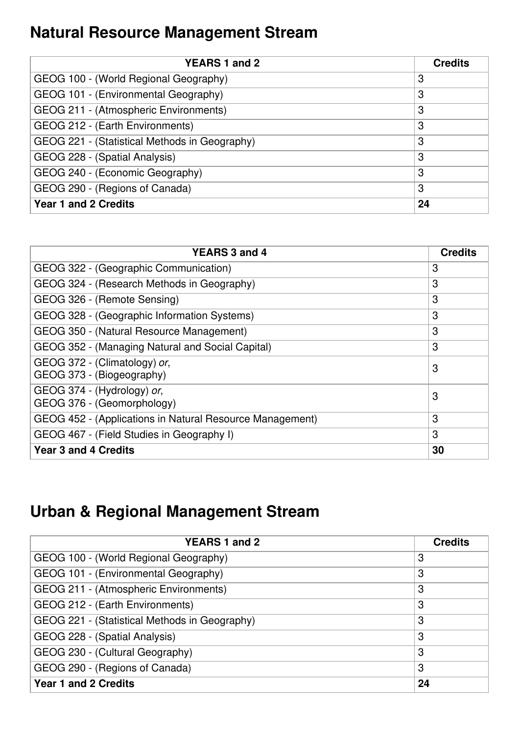## **Natural Resource Management Stream**

| YEARS 1 and 2                                 | <b>Credits</b> |
|-----------------------------------------------|----------------|
| GEOG 100 - (World Regional Geography)         | 3              |
| GEOG 101 - (Environmental Geography)          | 3              |
| GEOG 211 - (Atmospheric Environments)         | 3              |
| GEOG 212 - (Earth Environments)               | 3              |
| GEOG 221 - (Statistical Methods in Geography) | 3              |
| GEOG 228 - (Spatial Analysis)                 | 3              |
| GEOG 240 - (Economic Geography)               | 3              |
| GEOG 290 - (Regions of Canada)                | 3              |
| <b>Year 1 and 2 Credits</b>                   | 24             |

| <b>YEARS 3 and 4</b>                                     | <b>Credits</b> |
|----------------------------------------------------------|----------------|
| GEOG 322 - (Geographic Communication)                    | 3              |
| GEOG 324 - (Research Methods in Geography)               | 3              |
| GEOG 326 - (Remote Sensing)                              | 3              |
| GEOG 328 - (Geographic Information Systems)              | 3              |
| GEOG 350 - (Natural Resource Management)                 | 3              |
| GEOG 352 - (Managing Natural and Social Capital)         | 3              |
| GEOG 372 - (Climatology) or,                             | 3              |
| GEOG 373 - (Biogeography)                                |                |
| GEOG 374 - (Hydrology) or,<br>GEOG 376 - (Geomorphology) | 3              |
|                                                          |                |
| GEOG 452 - (Applications in Natural Resource Management) | 3              |
| GEOG 467 - (Field Studies in Geography I)                | 3              |
| <b>Year 3 and 4 Credits</b>                              | 30             |

## **Urban & Regional Management Stream**

| <b>YEARS 1 and 2</b>                          | <b>Credits</b> |
|-----------------------------------------------|----------------|
| GEOG 100 - (World Regional Geography)         | 3              |
| GEOG 101 - (Environmental Geography)          | 3              |
| GEOG 211 - (Atmospheric Environments)         | 3              |
| GEOG 212 - (Earth Environments)               | 3              |
| GEOG 221 - (Statistical Methods in Geography) | 3              |
| GEOG 228 - (Spatial Analysis)                 | 3              |
| GEOG 230 - (Cultural Geography)               | 3              |
| GEOG 290 - (Regions of Canada)                | 3              |
| <b>Year 1 and 2 Credits</b>                   | 24             |